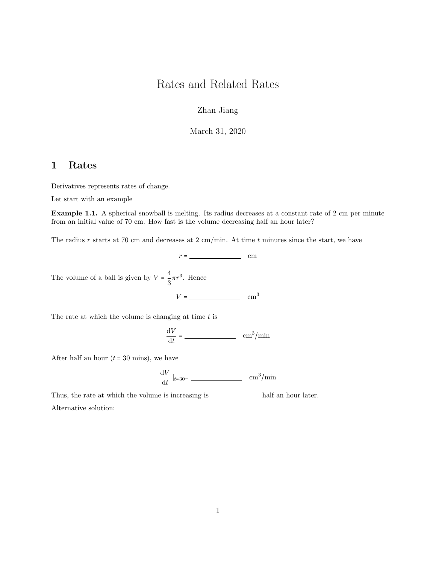## Rates and Related Rates

Zhan Jiang

March 31, 2020

## 1 Rates

Derivatives represents rates of change.

Let start with an example

Example 1.1. A spherical snowball is melting. Its radius decreases at a constant rate of 2 cm per minute from an initial value of 70 cm. How fast is the volume decreasing half an hour later?

The radius r starts at 70 cm and decreases at 2 cm/min. At time t minures since the start, we have

 $r =$  cm

The volume of a ball is given by  $V = \frac{4}{5}$  $\frac{4}{3}\pi r^3$ . Hence

 $V = \underline{\hspace{1cm}}$  cm<sup>3</sup>

The rate at which the volume is changing at time  $t$  is

$$
\frac{\mathrm{d}V}{\mathrm{d}t} = \underline{\hspace{2cm}} \underline{\hspace{2cm}} \mathrm{cm}^3/\mathrm{min}
$$

After half an hour  $(t = 30 \text{ mins})$ , we have

$$
\frac{\mathrm{d}V}{\mathrm{d}t}\mid_{t=30}=\frac{\mathrm{cm}^3/\mathrm{min}}{}.
$$

Thus, the rate at which the volume is increasing is  $\_\_\_\_\_\_$ half an hour later. Alternative solution: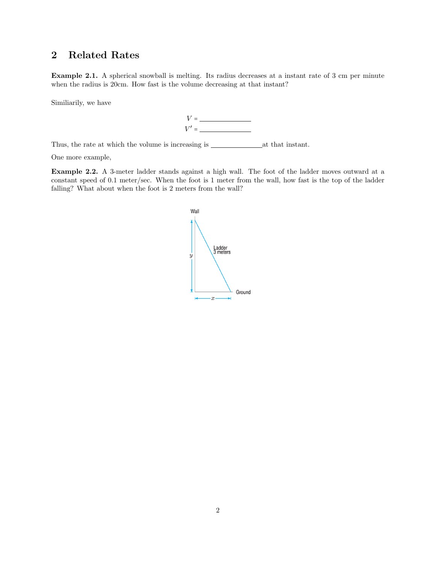## 2 Related Rates

Example 2.1. A spherical snowball is melting. Its radius decreases at a instant rate of 3 cm per minute when the radius is 20cm. How fast is the volume decreasing at that instant?

Similiarily, we have



Thus, the rate at which the volume is increasing is  $\_\_\_\_\_\_\_\_\_\_\$ 

One more example,

Example 2.2. A 3-meter ladder stands against a high wall. The foot of the ladder moves outward at a constant speed of 0.1 meter/sec. When the foot is 1 meter from the wall, how fast is the top of the ladder falling? What about when the foot is 2 meters from the wall?

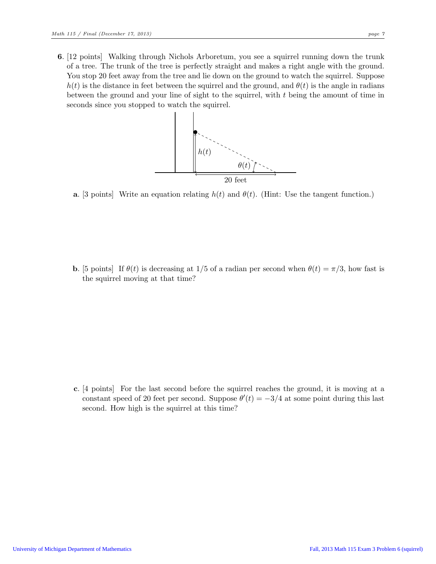6. [12 points] Walking through Nichols Arboretum, you see a squirrel running down the trunk of a tree. The trunk of the tree is perfectly straight and makes a right angle with the ground. You stop 20 feet away from the tree and lie down on the ground to watch the squirrel. Suppose  $h(t)$  is the distance in feet between the squirrel and the ground, and  $\theta(t)$  is the angle in radians between the ground and your line of sight to the squirrel, with t being the amount of time in seconds since you stopped to watch the squirrel.



**a.** [3 points] Write an equation relating  $h(t)$  and  $\theta(t)$ . (Hint: Use the tangent function.)

**b.** [5 points] If  $\theta(t)$  is decreasing at 1/5 of a radian per second when  $\theta(t) = \pi/3$ , how fast is the squirrel moving at that time?

c. [4 points] For the last second before the squirrel reaches the ground, it is moving at a constant speed of 20 feet per second. Suppose  $\theta'(t) = -3/4$  at some point during this last second. How high is the squirrel at this time?